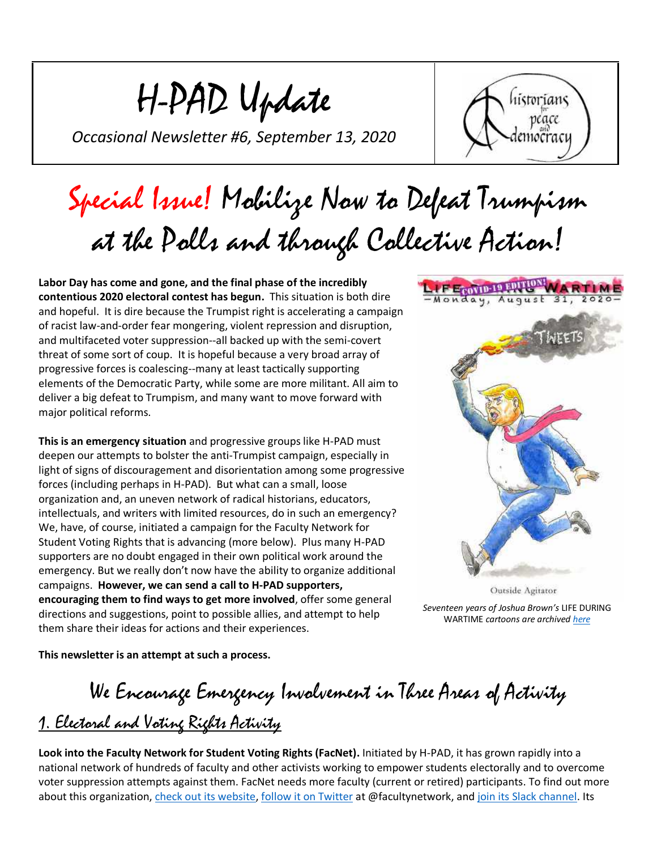H-PAD Update

*Occasional Newsletter #6, September 13, 2020*



# Special Issue! Mobilize Now to Defeat Trumpism at the Polls and through Collective Action!

**Labor Day has come and gone, and the final phase of the incredibly contentious 2020 electoral contest has begun.** This situation is both dire and hopeful. It is dire because the Trumpist right is accelerating a campaign of racist law-and-order fear mongering, violent repression and disruption, and multifaceted voter suppression--all backed up with the semi-covert threat of some sort of coup. It is hopeful because a very broad array of progressive forces is coalescing--many at least tactically supporting elements of the Democratic Party, while some are more militant. All aim to deliver a big defeat to Trumpism, and many want to move forward with major political reforms.

**This is an emergency situation** and progressive groups like H-PAD must deepen our attempts to bolster the anti-Trumpist campaign, especially in light of signs of discouragement and disorientation among some progressive forces (including perhaps in H-PAD). But what can a small, loose organization and, an uneven network of radical historians, educators, intellectuals, and writers with limited resources, do in such an emergency? We, have, of course, initiated a campaign for the Faculty Network for Student Voting Rights that is advancing (more below). Plus many H-PAD supporters are no doubt engaged in their own political work around the emergency. But we really don't now have the ability to organize additional campaigns. **However, we can send a call to H-PAD supporters, encouraging them to find ways to get more involved**, offer some general directions and suggestions, point to possible allies, and attempt to help them share their ideas for actions and their experiences.



Outside Agitator *Seventeen years of Joshua Brown's* LIFE DURING WARTIME *cartoons are archived [here](http://www.joshbrownnyc.com/ldw.htm)*

**This newsletter is an attempt at such a process.**

We Encourage Emergency Involvement in Three Areas of Activity 1. Electoral and Voting Rights Activity

**Look into the Faculty Network for Student Voting Rights (FacNet).** Initiated by H-PAD, it has grown rapidly into a national network of hundreds of faculty and other activists working to empower students electorally and to overcome voter suppression attempts against them. FacNet needs more faculty (current or retired) participants. To find out more about this organization, [check out its website,](https://scholarsstrategynetwork-dot-yamm-track.appspot.com/Redirect?ukey=1mfhHLg-TtIbc465kwbWT50MW9Ko5Dt3lvu4AeuJVgIs-0&key=YAMMID-69659051&link=https%3A%2F%2Ffacultyforvotingrights.org%2F) [follow it on Twitter](https://scholarsstrategynetwork-dot-yamm-track.appspot.com/Redirect?ukey=1mfhHLg-TtIbc465kwbWT50MW9Ko5Dt3lvu4AeuJVgIs-0&key=YAMMID-69659051&link=https%3A%2F%2Ftwitter.com%2Ffacultynetwork) at @facultynetwork, and [join its Slack channel.](https://scholarsstrategynetwork-dot-yamm-track.appspot.com/Redirect?ukey=1mfhHLg-TtIbc465kwbWT50MW9Ko5Dt3lvu4AeuJVgIs-0&key=YAMMID-69659051&link=https%3A%2F%2Fjoin.slack.com%2Ft%2Fthefacultynet-pws8952%2Fshared_invite%2Fzt-h67uqfg4-P3bjEn6lhD4MrR~QotemeQ) Its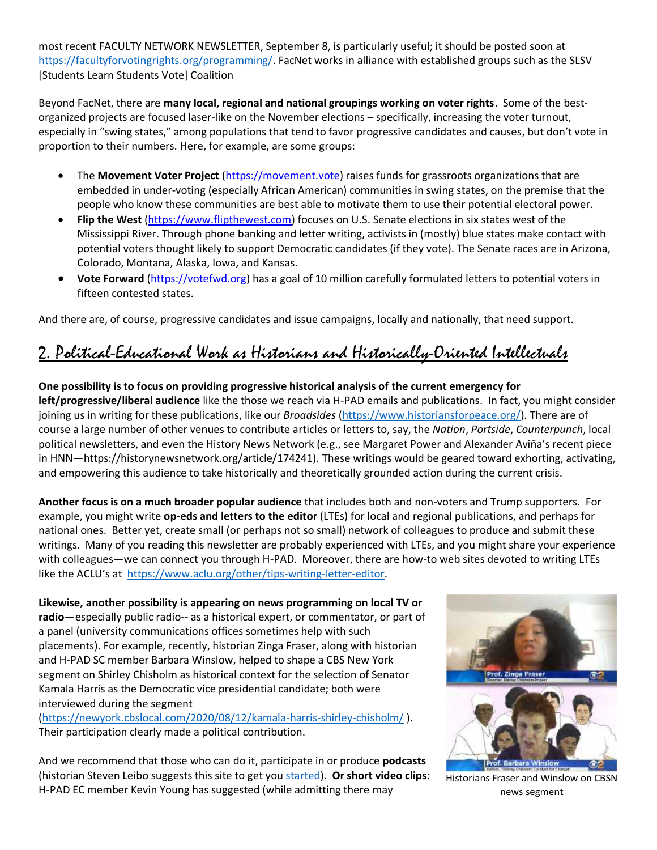most recent FACULTY NETWORK NEWSLETTER, September 8, is particularly useful; it should be posted soon at [https://facultyforvotingrights.org/programming/.](https://facultyforvotingrights.org/programming/) FacNet works in alliance with established groups such as the SLSV [Students Learn Students Vote] Coalition

Beyond FacNet, there are **many local, regional and national groupings working on voter rights**. Some of the bestorganized projects are focused laser-like on the November elections – specifically, increasing the voter turnout, especially in "swing states," among populations that tend to favor progressive candidates and causes, but don't vote in proportion to their numbers. Here, for example, are some groups:

- The **Movement Voter Project** [\(https://movement.vote\)](https://movement.vote/) raises funds for grassroots organizations that are embedded in under-voting (especially African American) communities in swing states, on the premise that the people who know these communities are best able to motivate them to use their potential electoral power.
- **Flip the West** [\(https://www.flipthewest.com\)](https://www.flipthewest.com/) focuses on U.S. Senate elections in six states west of the Mississippi River. Through phone banking and letter writing, activists in (mostly) blue states make contact with potential voters thought likely to support Democratic candidates (if they vote). The Senate races are in Arizona, Colorado, Montana, Alaska, Iowa, and Kansas.
- **Vote Forward** [\(https://votefwd.org\)](https://votefwd.org/) has a goal of 10 million carefully formulated letters to potential voters in fifteen contested states.

And there are, of course, progressive candidates and issue campaigns, locally and nationally, that need support.

### 2. Political-Educational Work as Historians and Historically-Oriented Intellectuals

#### **One possibility is to focus on providing progressive historical analysis of the current emergency for left/progressive/liberal audience** like the those we reach via H-PAD emails and publications. In fact, you might consider joining us in writing for these publications, like our *Broadsides* [\(https://www.historiansforpeace.org/\)](https://www.historiansforpeace.org/). There are of course a large number of other venues to contribute articles or letters to, say, the *Nation*, *Portside*, *Counterpunch*, local political newsletters, and even the History News Network (e.g., see Margaret Power and Alexander Aviña's recent piece in HNN—https://historynewsnetwork.org/article/174241). These writings would be geared toward exhorting, activating, and empowering this audience to take historically and theoretically grounded action during the current crisis.

**Another focus is on a much broader popular audience** that includes both and non-voters and Trump supporters. For example, you might write **op-eds and letters to the editor** (LTEs) for local and regional publications, and perhaps for national ones. Better yet, create small (or perhaps not so small) network of colleagues to produce and submit these writings. Many of you reading this newsletter are probably experienced with LTEs, and you might share your experience with colleagues—we can connect you through H-PAD. Moreover, there are how-to web sites devoted to writing LTEs like the ACLU's at [https://www.aclu.org/other/tips-writing-letter-editor.](https://www.aclu.org/other/tips-writing-letter-editor)

**Likewise, another possibility is appearing on news programming on local TV or radio**—especially public radio-- as a historical expert, or commentator, or part of a panel (university communications offices sometimes help with such placements). For example, recently, historian Zinga Fraser, along with historian and H-PAD SC member Barbara Winslow, helped to shape a CBS New York segment on Shirley Chisholm as historical context for the selection of Senator Kamala Harris as the Democratic vice presidential candidate; both were interviewed during the segment

[\(https://newyork.cbslocal.com/2020/08/12/kamala-harris-shirley-chisholm/](https://newyork.cbslocal.com/2020/08/12/kamala-harris-shirley-chisholm/) ). Their participation clearly made a political contribution.

And we recommend that those who can do it, participate in or produce **podcasts** (historian Steven Leibo suggests this site to get you [started\)](https://wordpress.com/blog/2020/08/12/starting-your-own-podcast/). **Or short video clips**: H-PAD EC member Kevin Young has suggested (while admitting there may



Historians Fraser and Winslow on CBSN news segment